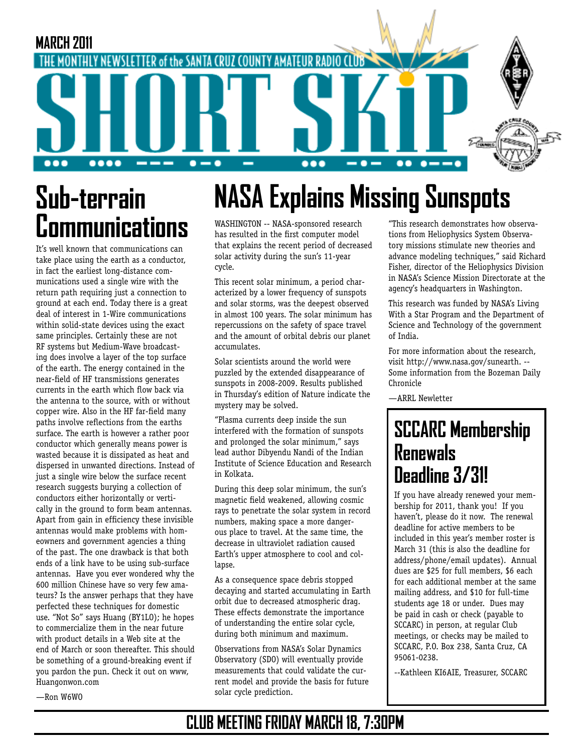

# **Sub-terrain Communications**

It's well known that communications can take place using the earth as a conductor, in fact the earliest long-distance communications used a single wire with the return path requiring just a connection to ground at each end. Today there is a great deal of interest in 1-Wire communications within solid-state devices using the exact same principles. Certainly these are not RF systems but Medium-Wave broadcasting does involve a layer of the top surface of the earth. The energy contained in the near-field of HF transmissions generates currents in the earth which flow back via the antenna to the source, with or without copper wire. Also in the HF far-field many paths involve reflections from the earths surface. The earth is however a rather poor conductor which generally means power is wasted because it is dissipated as heat and dispersed in unwanted directions. Instead of just a single wire below the surface recent research suggests burying a collection of conductors either horizontally or vertically in the ground to form beam antennas. Apart from gain in efficiency these invisible antennas would make problems with homeowners and government agencies a thing of the past. The one drawback is that both ends of a link have to be using sub-surface antennas. Have you ever wondered why the 600 million Chinese have so very few amateurs? Is the answer perhaps that they have perfected these techniques for domestic use. "Not So" says Huang (BY1LO); he hopes to commercialize them in the near future with product details in a Web site at the end of March or soon thereafter. This should be something of a ground-breaking event if you pardon the pun. Check it out on www, Huangonwon.com

WASHINGTON -- NASA-sponsored research has resulted in the first computer model that explains the recent period of decreased solar activity during the sun's 11-year cycle.

This recent solar minimum, a period characterized by a lower frequency of sunspots and solar storms, was the deepest observed in almost 100 years. The solar minimum has repercussions on the safety of space travel and the amount of orbital debris our planet accumulates.

Solar scientists around the world were puzzled by the extended disappearance of sunspots in 2008-2009. Results published in Thursday's edition of Nature indicate the mystery may be solved.

"Plasma currents deep inside the sun interfered with the formation of sunspots and prolonged the solar minimum," says lead author Dibyendu Nandi of the Indian Institute of Science Education and Research in Kolkata.

During this deep solar minimum, the sun's magnetic field weakened, allowing cosmic rays to penetrate the solar system in record numbers, making space a more dangerous place to travel. At the same time, the decrease in ultraviolet radiation caused Earth's upper atmosphere to cool and collapse.

As a consequence space debris stopped decaying and started accumulating in Earth orbit due to decreased atmospheric drag. These effects demonstrate the importance of understanding the entire solar cycle, during both minimum and maximum.

Observations from NASA's Solar Dynamics Observatory (SDO) will eventually provide measurements that could validate the current model and provide the basis for future solar cycle prediction.

"This research demonstrates how observations from Heliophysics System Observatory missions stimulate new theories and advance modeling techniques," said Richard Fisher, director of the Heliophysics Division in NASA's Science Mission Directorate at the agency's headquarters in Washington.

This research was funded by NASA's Living With a Star Program and the Department of Science and Technology of the government of India.

For more information about the research, visit http://www.nasa.gov/sunearth. -- Some information from the Bozeman Daily Chronicle

—ARRL Newletter

# **SCCARC Membership Renewals Deadline 3/31!**

If you have already renewed your membership for 2011, thank you! If you haven't, please do it now. The renewal deadline for active members to be included in this year's member roster is March 31 (this is also the deadline for address/phone/email updates). Annual dues are \$25 for full members, \$6 each for each additional member at the same mailing address, and \$10 for full-time students age 18 or under. Dues may be paid in cash or check (payable to SCCARC) in person, at regular Club meetings, or checks may be mailed to SCCARC, P.O. Box 238, Santa Cruz, CA 95061-0238.

--Kathleen KI6AIE, Treasurer, SCCARC

—Ron W6WO

#### **CLUB MEETING FRIDAY MARCH 18, 7:30PM**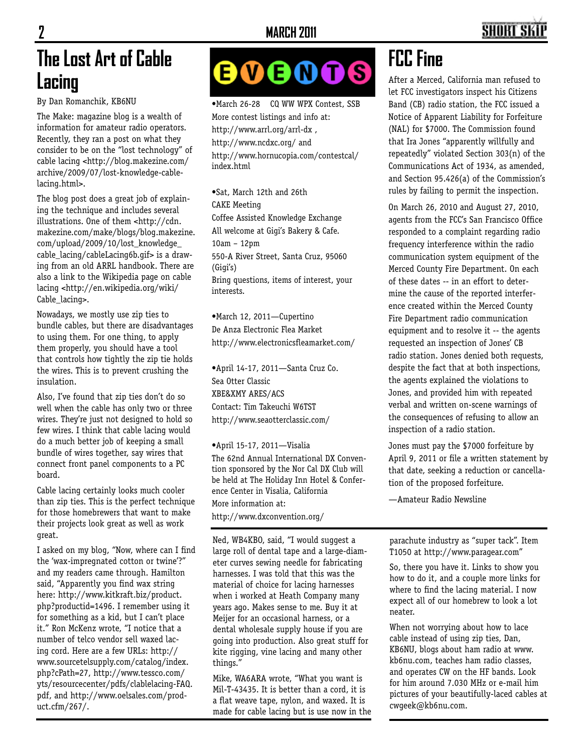## SHART S

### **The Lost Art of Cable Lacing**

By Dan Romanchik, KB6NU

The Make: magazine blog is a wealth of information for amateur radio operators. Recently, they ran a post on what they consider to be on the "lost technology" of cable lacing <http://blog.makezine.com/ archive/2009/07/lost-knowledge-cablelacing.html>.

The blog post does a great job of explaining the technique and includes several illustrations. One of them <http://cdn. makezine.com/make/blogs/blog.makezine. com/upload/2009/10/lost\_knowledge\_ cable\_lacing/cableLacing6b.gif> is a drawing from an old ARRL handbook. There are also a link to the Wikipedia page on cable lacing <http://en.wikipedia.org/wiki/ Cable\_lacing>.

Nowadays, we mostly use zip ties to bundle cables, but there are disadvantages to using them. For one thing, to apply them properly, you should have a tool that controls how tightly the zip tie holds the wires. This is to prevent crushing the insulation.

Also, I've found that zip ties don't do so well when the cable has only two or three wires. They're just not designed to hold so few wires. I think that cable lacing would do a much better job of keeping a small bundle of wires together, say wires that connect front panel components to a PC board.

Cable lacing certainly looks much cooler than zip ties. This is the perfect technique for those homebrewers that want to make their projects look great as well as work great.

I asked on my blog, "Now, where can I find the 'wax-impregnated cotton or twine'?" and my readers came through. Hamilton said, "Apparently you find wax string here: http://www.kitkraft.biz/product. php?productid=1496. I remember using it for something as a kid, but I can't place it." Ron McKenz wrote, "I notice that a number of telco vendor sell waxed lacing cord. Here are a few URLs: http:// www.sourcetelsupply.com/catalog/index. php?cPath=27, http://www.tessco.com/ yts/resourcecenter/pdfs/clablelacing-FAQ. pdf, and http://www.oelsales.com/product.cfm/267/.

#### $\boldsymbol{\Theta} \boldsymbol{\Theta} \boldsymbol{\Theta} \boldsymbol{\Theta}$ 6

•March 26-28 CQ WW WPX Contest, SSB More contest listings and info at: http://www.arrl.org/arrl-dx , http://www.ncdxc.org/ and http://www.hornucopia.com/contestcal/ index.html

•Sat, March 12th and 26th CAKE Meeting Coffee Assisted Knowledge Exchange All welcome at Gigi's Bakery & Cafe. 10am – 12pm 550-A River Street, Santa Cruz, 95060 (Gigi's) Bring questions, items of interest, your interests.

•March 12, 2011—Cupertino De Anza Electronic Flea Market http://www.electronicsfleamarket.com/

•April 14-17, 2011—Santa Cruz Co. Sea Otter Classic XBE&XMY ARES/ACS Contact: Tim Takeuchi W6TST http://www.seaotterclassic.com/

•April 15-17, 2011—Visalia The 62nd Annual International DX Convention sponsored by the Nor Cal DX Club will be held at The Holiday Inn Hotel & Conference Center in Visalia, California More information at: http://www.dxconvention.org/

Ned, WB4KBO, said, "I would suggest a large roll of dental tape and a large-diameter curves sewing needle for fabricating harnesses. I was told that this was the material of choice for lacing harnesses when i worked at Heath Company many years ago. Makes sense to me. Buy it at Meijer for an occasional harness, or a dental wholesale supply house if you are going into production. Also great stuff for kite rigging, vine lacing and many other things."

Mike, WA6ARA wrote, "What you want is Mil-T-43435. It is better than a cord, it is a flat weave tape, nylon, and waxed. It is made for cable lacing but is use now in the

## **FCC Fine**

After a Merced, California man refused to let FCC investigators inspect his Citizens Band (CB) radio station, the FCC issued a Notice of Apparent Liability for Forfeiture (NAL) for \$7000. The Commission found that Ira Jones "apparently willfully and repeatedly" violated Section 303(n) of the Communications Act of 1934, as amended, and Section 95.426(a) of the Commission's rules by failing to permit the inspection.

On March 26, 2010 and August 27, 2010, agents from the FCC's San Francisco Office responded to a complaint regarding radio frequency interference within the radio communication system equipment of the Merced County Fire Department. On each of these dates -- in an effort to determine the cause of the reported interference created within the Merced County Fire Department radio communication equipment and to resolve it -- the agents requested an inspection of Jones' CB radio station. Jones denied both requests, despite the fact that at both inspections, the agents explained the violations to Jones, and provided him with repeated verbal and written on-scene warnings of the consequences of refusing to allow an inspection of a radio station.

Jones must pay the \$7000 forfeiture by April 9, 2011 or file a written statement by that date, seeking a reduction or cancellation of the proposed forfeiture.

—Amateur Radio Newsline

parachute industry as "super tack". Item T1050 at http://www.paragear.com"

So, there you have it. Links to show you how to do it, and a couple more links for where to find the lacing material. I now expect all of our homebrew to look a lot neater.

When not worrying about how to lace cable instead of using zip ties, Dan, KB6NU, blogs about ham radio at www. kb6nu.com, teaches ham radio classes, and operates CW on the HF bands. Look for him around 7.030 MHz or e-mail him pictures of your beautifully-laced cables at cwgeek@kb6nu.com.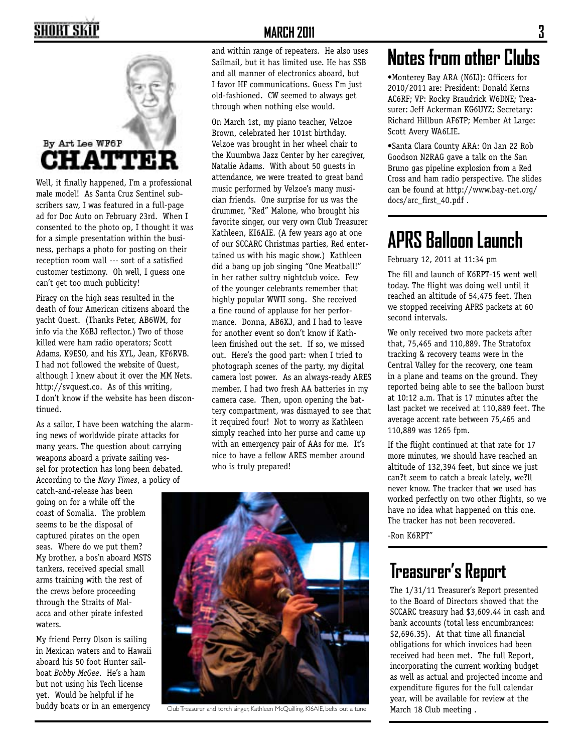### SHORT SKII



Well, it finally happened, I'm a professional male model! As Santa Cruz Sentinel subscribers saw, I was featured in a full-page ad for Doc Auto on February 23rd. When I consented to the photo op, I thought it was for a simple presentation within the business, perhaps a photo for posting on their reception room wall --- sort of a satisfied customer testimony. Oh well, I guess one can't get too much publicity!

Piracy on the high seas resulted in the death of four American citizens aboard the yacht Quest. (Thanks Peter, AB6WM, for info via the K6BJ reflector.) Two of those killed were ham radio operators; Scott Adams, K9ESO, and his XYL, Jean, KF6RVB. I had not followed the website of Quest, although I knew about it over the MM Nets. http://svquest.co. As of this writing, I don't know if the website has been discontinued.

As a sailor, I have been watching the alarming news of worldwide pirate attacks for many years. The question about carrying weapons aboard a private sailing vessel for protection has long been debated. According to the *Navy Times*, a policy of

catch-and-release has been going on for a while off the coast of Somalia. The problem seems to be the disposal of captured pirates on the open seas. Where do we put them? My brother, a bos'n aboard MSTS tankers, received special small arms training with the rest of the crews before proceeding through the Straits of Malacca and other pirate infested waters.

My friend Perry Olson is sailing in Mexican waters and to Hawaii aboard his 50 foot Hunter sailboat *Bobby McGee*. He's a ham but not using his Tech license yet. Would be helpful if he buddy boats or in an emergency

and within range of repeaters. He also uses Sailmail, but it has limited use. He has SSB and all manner of electronics aboard, but I favor HF communications. Guess I'm just old-fashioned. CW seemed to always get through when nothing else would.

On March 1st, my piano teacher, Velzoe Brown, celebrated her 101st birthday. Velzoe was brought in her wheel chair to the Kuumbwa Jazz Center by her caregiver, Natalie Adams. With about 50 guests in attendance, we were treated to great band music performed by Velzoe's many musician friends. One surprise for us was the drummer, "Red" Malone, who brought his favorite singer, our very own Club Treasurer Kathleen, KI6AIE. (A few years ago at one of our SCCARC Christmas parties, Red entertained us with his magic show.) Kathleen did a bang up job singing "One Meatball!" in her rather sultry nightclub voice. Few of the younger celebrants remember that highly popular WWII song. She received a fine round of applause for her performance. Donna, AB6XJ, and I had to leave for another event so don't know if Kathleen finished out the set. If so, we missed out. Here's the good part: when I tried to photograph scenes of the party, my digital camera lost power. As an always-ready ARES member, I had two fresh AA batteries in my camera case. Then, upon opening the battery compartment, was dismayed to see that it required four! Not to worry as Kathleen simply reached into her purse and came up with an emergency pair of AAs for me. It's nice to have a fellow ARES member around who is truly prepared!



Club Treasurer and torch singer, Kathleen McQuilling, KI6AIE, belts out a tune

## **Notes from other Clubs**

•Monterey Bay ARA (N6IJ): Officers for 2010/2011 are: President: Donald Kerns AC6RF; VP: Rocky Braudrick W6DNE; Treasurer: Jeff Ackerman KG6UYZ; Secretary: Richard Hillbun AF6TP; Member At Large: Scott Avery WA6LIE.

•Santa Clara County ARA: On Jan 22 Rob Goodson N2RAG gave a talk on the San Bruno gas pipeline explosion from a Red Cross and ham radio perspective. The slides can be found at http://www.bay-net.org/ docs/arc\_first\_40.pdf .

### **APRS Balloon Launch**

February 12, 2011 at 11:34 pm

The fill and launch of K6RPT-15 went well today. The flight was doing well until it reached an altitude of 54,475 feet. Then we stopped receiving APRS packets at 60 second intervals.

We only received two more packets after that, 75,465 and 110,889. The Stratofox tracking & recovery teams were in the Central Valley for the recovery, one team in a plane and teams on the ground. They reported being able to see the balloon burst at 10:12 a.m. That is 17 minutes after the last packet we received at 110,889 feet. The average accent rate between 75,465 and 110,889 was 1265 fpm.

If the flight continued at that rate for 17 more minutes, we should have reached an altitude of 132,394 feet, but since we just can?t seem to catch a break lately, we?ll never know. The tracker that we used has worked perfectly on two other flights, so we have no idea what happened on this one. The tracker has not been recovered.

-Ron K6RPT"

#### **Treasurer's Report**

The 1/31/11 Treasurer's Report presented to the Board of Directors showed that the SCCARC treasury had \$3,609.44 in cash and bank accounts (total less encumbrances: \$2,696.35). At that time all financial obligations for which invoices had been received had been met. The full Report, incorporating the current working budget as well as actual and projected income and expenditure figures for the full calendar year, will be available for review at the March 18 Club meeting .